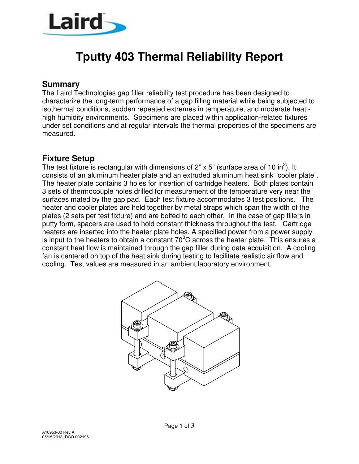

# **Tputty 403 Thermal Reliability Report**

#### **Summary**

The Laird Technologies gap filler reliability test procedure has been designed to characterize the long-term performance of a gap filling material while being subjected to isothermal conditions, sudden repeated extremes in temperature, and moderate heat high humidity environments. Specimens are placed within application-related fixtures under set conditions and at regular intervals the thermal properties of the specimens are measured.

#### **Fixture Setup**

The test fixture is rectangular with dimensions of 2" x 5" (surface area of 10 in<sup>2</sup>). It consists of an aluminum heater plate and an extruded aluminum heat sink "cooler plate". The heater plate contains 3 holes for insertion of cartridge heaters. Both plates contain 3 sets of thermocouple holes drilled for measurement of the temperature very near the surfaces mated by the gap pad. Each test fixture accommodates 3 test positions. The heater and cooler plates are held together by metal straps which span the width of the plates (2 sets per test fixture) and are bolted to each other. In the case of gap fillers in putty form, spacers are used to hold constant thickness throughout the test. Cartridge heaters are inserted into the heater plate holes. A specified power from a power supply is input to the heaters to obtain a constant  $70^0$ C across the heater plate. This ensures a constant heat flow is maintained through the gap filler during data acquisition. A cooling fan is centered on top of the heat sink during testing to facilitate realistic air flow and cooling. Test values are measured in an ambient laboratory environment.

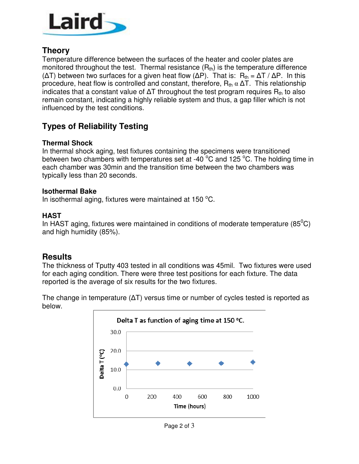

## **Theory**

Temperature difference between the surfaces of the heater and cooler plates are monitored throughout the test. Thermal resistance  $(R<sub>th</sub>)$  is the temperature difference ( $ΔT$ ) between two surfaces for a given heat flow ( $ΔP$ ). That is: R<sub>th</sub> =  $ΔT / ΔP$ . In this procedure, heat flow is controlled and constant, therefore,  $R_{th} \alpha \Delta T$ . This relationship indicates that a constant value of  $\Delta T$  throughout the test program requires  $R_{th}$  to also remain constant, indicating a highly reliable system and thus, a gap filler which is not influenced by the test conditions.

# **Types of Reliability Testing**

#### **Thermal Shock**

In thermal shock aging, test fixtures containing the specimens were transitioned between two chambers with temperatures set at -40 °C and 125 °C. The holding time in each chamber was 30min and the transition time between the two chambers was typically less than 20 seconds.

#### **Isothermal Bake**

In isothermal aging, fixtures were maintained at 150 $\mathrm{^{\circ}C}$ .

#### **HAST**

In HAST aging, fixtures were maintained in conditions of moderate temperature (85 $^0C$ ) and high humidity (85%).

### **Results**

The thickness of Tputty 403 tested in all conditions was 45mil. Two fixtures were used for each aging condition. There were three test positions for each fixture. The data reported is the average of six results for the two fixtures.

The change in temperature (∆T) versus time or number of cycles tested is reported as below.